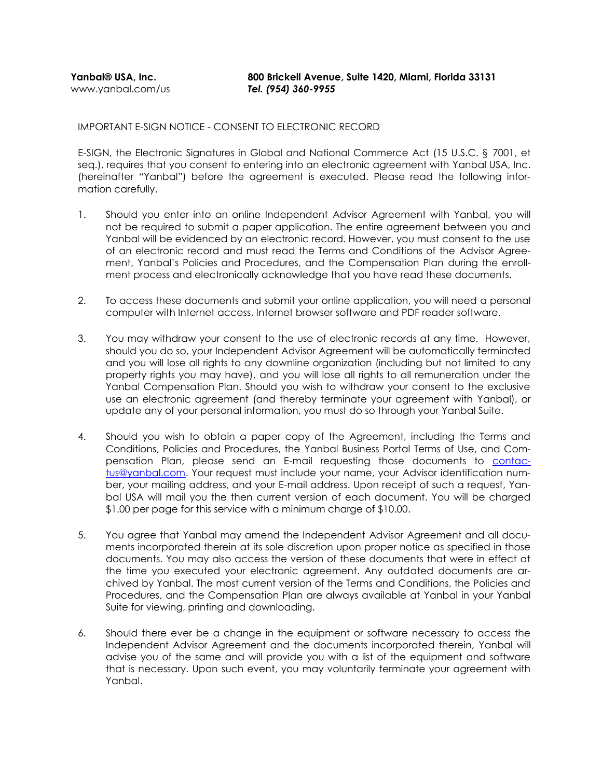**Yanbal® USA, Inc. 800 Brickell Avenue, Suite 1420, Miami, Florida 33131**

IMPORTANT E-SIGN NOTICE - CONSENT TO ELECTRONIC RECORD

E-SIGN, the Electronic Signatures in Global and National Commerce Act (15 U.S.C. § 7001, et seq.), requires that you consent to entering into an electronic agreement with Yanbal USA, Inc. (hereinafter "Yanbal") before the agreement is executed. Please read the following information carefully.

- 1. Should you enter into an online Independent Advisor Agreement with Yanbal, you will not be required to submit a paper application. The entire agreement between you and Yanbal will be evidenced by an electronic record. However, you must consent to the use of an electronic record and must read the Terms and Conditions of the Advisor Agreement, Yanbal's Policies and Procedures, and the Compensation Plan during the enrollment process and electronically acknowledge that you have read these documents.
- 2. To access these documents and submit your online application, you will need a personal computer with Internet access, Internet browser software and PDF reader software.
- 3. You may withdraw your consent to the use of electronic records at any time. However, should you do so, your Independent Advisor Agreement will be automatically terminated and you will lose all rights to any downline organization (including but not limited to any property rights you may have), and you will lose all rights to all remuneration under the Yanbal Compensation Plan. Should you wish to withdraw your consent to the exclusive use an electronic agreement (and thereby terminate your agreement with Yanbal), or update any of your personal information, you must do so through your Yanbal Suite.
- 4. Should you wish to obtain a paper copy of the Agreement, including the Terms and Conditions, Policies and Procedures, the Yanbal Business Portal Terms of Use, and Compensation Plan, please send an E-mail requesting those documents to [contac](mailto:contactus@yanbal.com)[tus@yanbal.com.](mailto:contactus@yanbal.com) Your request must include your name, your Advisor identification number, your mailing address, and your E-mail address. Upon receipt of such a request, Yanbal USA will mail you the then current version of each document. You will be charged \$1.00 per page for this service with a minimum charge of \$10.00.
- 5. You agree that Yanbal may amend the Independent Advisor Agreement and all documents incorporated therein at its sole discretion upon proper notice as specified in those documents. You may also access the version of these documents that were in effect at the time you executed your electronic agreement. Any outdated documents are archived by Yanbal. The most current version of the Terms and Conditions, the Policies and Procedures, and the Compensation Plan are always available at Yanbal in your Yanbal Suite for viewing, printing and downloading.
- 6. Should there ever be a change in the equipment or software necessary to access the Independent Advisor Agreement and the documents incorporated therein, Yanbal will advise you of the same and will provide you with a list of the equipment and software that is necessary. Upon such event, you may voluntarily terminate your agreement with Yanbal.